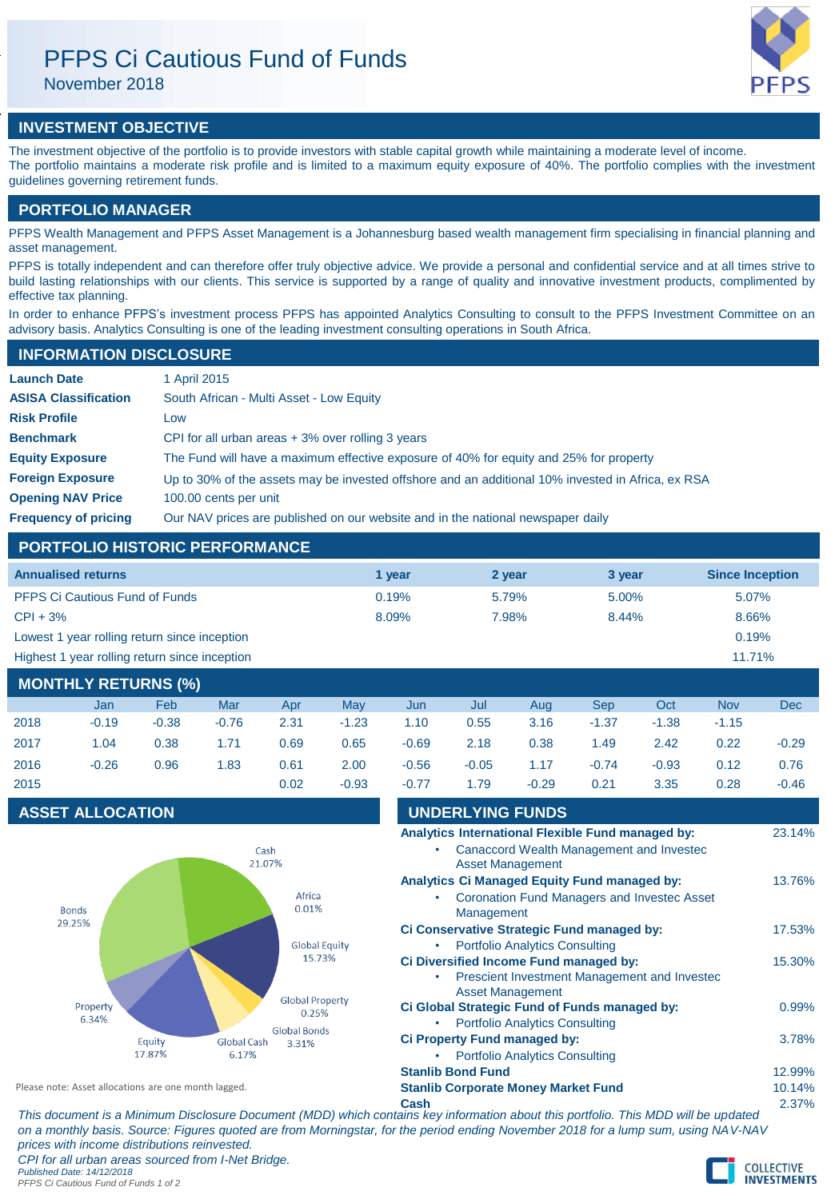# PFPS Ci Cautious Fund of Funds

November 2018

# **INVESTMENT OBJECTIVE**

The investment objective of the portfolio is to provide investors with stable capital growth while maintaining a moderate level of income. The portfolio maintains a moderate risk profile and is limited to a maximum equity exposure of 40%. The portfolio complies with the investment guidelines governing retirement funds.

# **PORTFOLIO MANAGER**

PFPS Wealth Management and PFPS Asset Management is a Johannesburg based wealth management firm specialising in financial planning and asset management.

PFPS is totally independent and can therefore offer truly objective advice. We provide a personal and confidential service and at all times strive to build lasting relationships with our clients. This service is supported by a range of quality and innovative investment products, complimented by effective tax planning.

In order to enhance PFPS's investment process PFPS has appointed Analytics Consulting to consult to the PFPS Investment Committee on an advisory basis. Analytics Consulting is one of the leading investment consulting operations in South Africa.

## **INFORMATION DISCLOSURE**

| <b>Launch Date</b>          | 1 April 2015                                                                                      |
|-----------------------------|---------------------------------------------------------------------------------------------------|
| <b>ASISA Classification</b> | South African - Multi Asset - Low Equity                                                          |
| <b>Risk Profile</b>         | Low                                                                                               |
| <b>Benchmark</b>            | CPI for all urban areas $+3\%$ over rolling 3 years                                               |
| <b>Equity Exposure</b>      | The Fund will have a maximum effective exposure of 40% for equity and 25% for property            |
| <b>Foreign Exposure</b>     | Up to 30% of the assets may be invested offshore and an additional 10% invested in Africa, ex RSA |
| <b>Opening NAV Price</b>    | 100.00 cents per unit                                                                             |
| <b>Frequency of pricing</b> | Our NAV prices are published on our website and in the national newspaper daily                   |

# **PORTFOLIO HISTORIC PERFORMANCE**

| <b>Annualised returns</b>                     | 1 vear | 2 year | 3 year | <b>Since Inception</b> |
|-----------------------------------------------|--------|--------|--------|------------------------|
| <b>PFPS Ci Cautious Fund of Funds</b>         | 0.19%  | 5.79%  | 5.00%  | 5.07%                  |
| $CPI + 3%$                                    | 8.09%  | 7.98%  | 8.44%  | 8.66%                  |
| Lowest 1 year rolling return since inception  |        |        |        | 0.19%                  |
| Highest 1 year rolling return since inception |        |        |        | 11.71%                 |

# **MONTHLY RETURNS (%)**

|      | Jan     | Feb     | Mar     | Apr  | May     | Jun     | Jul     | Aua     | Sep     | Oct     | <b>Nov</b> | <b>Dec</b> |
|------|---------|---------|---------|------|---------|---------|---------|---------|---------|---------|------------|------------|
| 2018 | $-0.19$ | $-0.38$ | $-0.76$ | 2.31 | $-1.23$ | 1.10    | 0.55    | 3.16    | $-1.37$ | $-1.38$ | $-1.15$    |            |
| 2017 | 1.04    | 0.38    | 1.71    | 0.69 | 0.65    | $-0.69$ | 2.18    | 0.38    | 1.49    | 2.42    | 0.22       | $-0.29$    |
| 2016 | $-0.26$ | 0.96    | 1.83    | 0.61 | 2.00    | $-0.56$ | $-0.05$ | 1.17    | $-0.74$ | $-0.93$ | 0.12       | 0.76       |
| 2015 |         |         |         | 0.02 | $-0.93$ | $-0.77$ | 1.79    | $-0.29$ | 0.21    | 3.35    | 0.28       | $-0.46$    |

## **ASSET ALLOCATION**



| $-0.77$                                    | 1.79                     | $-0.29$                                                                                                                        | 0.21 | 3.35                                                | 0.28     | $-0.46$  |
|--------------------------------------------|--------------------------|--------------------------------------------------------------------------------------------------------------------------------|------|-----------------------------------------------------|----------|----------|
|                                            | <b>UNDERLYING FUNDS</b>  |                                                                                                                                |      |                                                     |          |          |
|                                            |                          |                                                                                                                                |      | Analytics International Flexible Fund managed by:   |          | 23.14%   |
|                                            |                          |                                                                                                                                |      | <b>Canaccord Wealth Management and Investec</b>     |          |          |
|                                            | <b>Asset Management</b>  |                                                                                                                                |      |                                                     |          |          |
|                                            |                          | Analytics Ci Managed Equity Fund managed by:                                                                                   |      |                                                     |          | 13.76%   |
|                                            |                          |                                                                                                                                |      | <b>Coronation Fund Managers and Investec Asset</b>  |          |          |
|                                            | Management               |                                                                                                                                |      |                                                     |          |          |
|                                            |                          | Ci Conservative Strategic Fund managed by:                                                                                     |      |                                                     |          | 17.53%   |
|                                            |                          | <b>Portfolio Analytics Consulting</b>                                                                                          |      |                                                     |          |          |
|                                            |                          | Ci Diversified Income Fund managed by:                                                                                         |      |                                                     |          | 15.30%   |
|                                            |                          |                                                                                                                                |      | <b>Prescient Investment Management and Investec</b> |          |          |
|                                            | <b>Asset Management</b>  | Ci Global Strategic Fund of Funds managed by:                                                                                  |      |                                                     |          | $0.99\%$ |
|                                            |                          | <b>Portfolio Analytics Consulting</b>                                                                                          |      |                                                     |          |          |
|                                            |                          | <b>Ci Property Fund managed by:</b>                                                                                            |      |                                                     |          | 3.78%    |
|                                            |                          | <b>Portfolio Analytics Consulting</b>                                                                                          |      |                                                     |          |          |
|                                            | <b>Stanlib Bond Fund</b> |                                                                                                                                |      |                                                     |          | 12.99%   |
| <b>Stanlib Corporate Money Market Fund</b> |                          |                                                                                                                                |      |                                                     |          | 10.14%   |
| Cash                                       |                          |                                                                                                                                |      |                                                     |          | 2.37%    |
|                                            |                          | $\mathbf{r}$ , and $\mathbf{r}$ , and $\mathbf{r}$ , and $\mathbf{r}$ , and $\mathbf{r}$ , and $\mathbf{r}$ , and $\mathbf{r}$ |      |                                                     | $\cdots$ |          |

**Cash** 2.37% *This document is a Minimum Disclosure Document (MDD) which contains key information about this portfolio. This MDD will be updated on a monthly basis. Source: Figures quoted are from Morningstar, for the period ending November 2018 for a lump sum, using NAV-NAV prices with income distributions reinvested. CPI for all urban areas sourced from I-Net Bridge.*

*Published Date: 14/12/2018 PFPS Ci Cautious Fund of Funds 1 of 2*

Please note: Asset allocations are one month lagged.